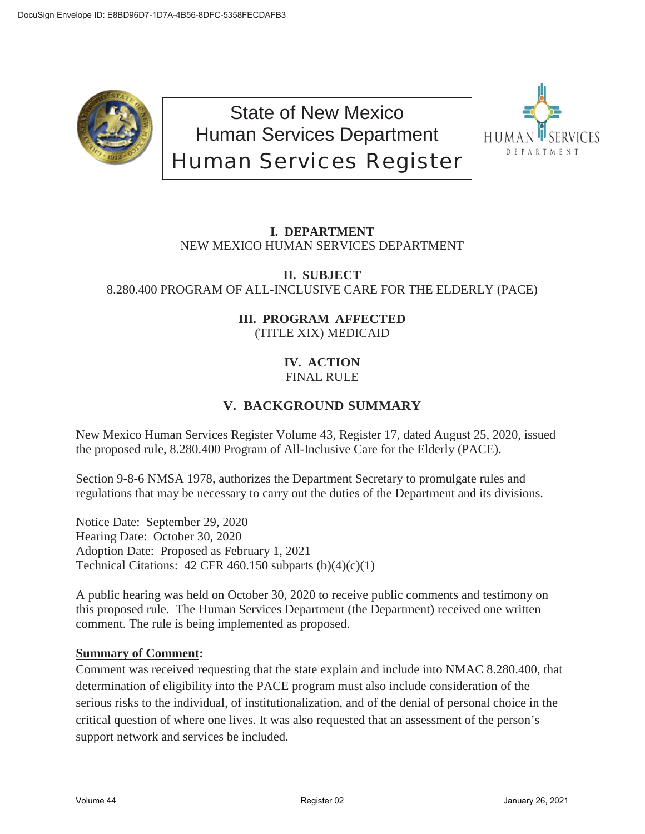

State of New Mexico Human Services Department Human Services Register



## **I. DEPARTMENT** NEW MEXICO HUMAN SERVICES DEPARTMENT

### **II. SUBJECT** 8.280.400 PROGRAM OF ALL-INCLUSIVE CARE FOR THE ELDERLY (PACE)

### **III. PROGRAM AFFECTED** (TITLE XIX) MEDICAID

### **IV. ACTION** FINAL RULE

# **V. BACKGROUND SUMMARY**

New Mexico Human Services Register Volume 43, Register 17, dated August 25, 2020, issued the proposed rule, 8.280.400 Program of All-Inclusive Care for the Elderly (PACE).

Section 9-8-6 NMSA 1978, authorizes the Department Secretary to promulgate rules and regulations that may be necessary to carry out the duties of the Department and its divisions.

Notice Date: September 29, 2020 Hearing Date: October 30, 2020 Adoption Date: Proposed as February 1, 2021 Technical Citations:  $42$  CFR 460.150 subparts  $(b)(4)(c)(1)$ 

A public hearing was held on October 30, 2020 to receive public comments and testimony on this proposed rule. The Human Services Department (the Department) received one written comment. The rule is being implemented as proposed.

### **Summary of Comment:**

Comment was received requesting that the state explain and include into NMAC 8.280.400, that determination of eligibility into the PACE program must also include consideration of the serious risks to the individual, of institutionalization, and of the denial of personal choice in the critical question of where one lives. It was also requested that an assessment of the person's support network and services be included.